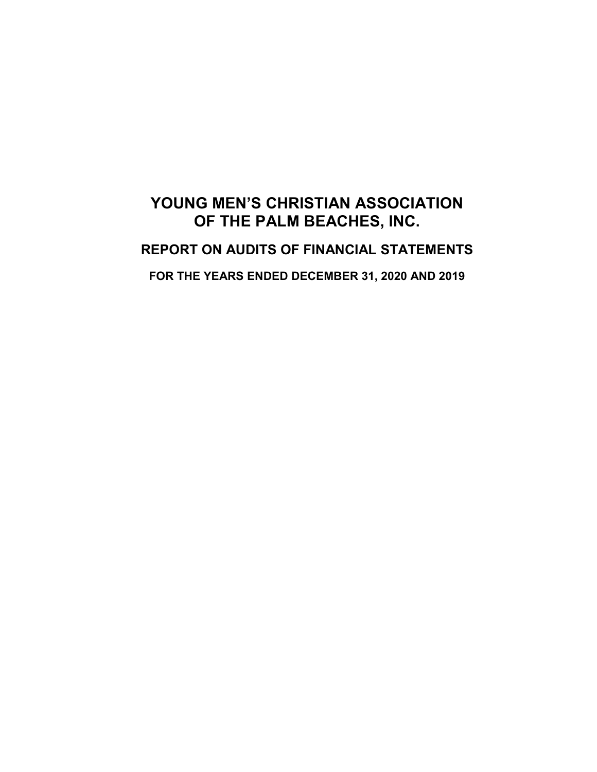# **REPORT ON AUDITS OF FINANCIAL STATEMENTS**

**FOR THE YEARS ENDED DECEMBER 31, 2020 AND 2019**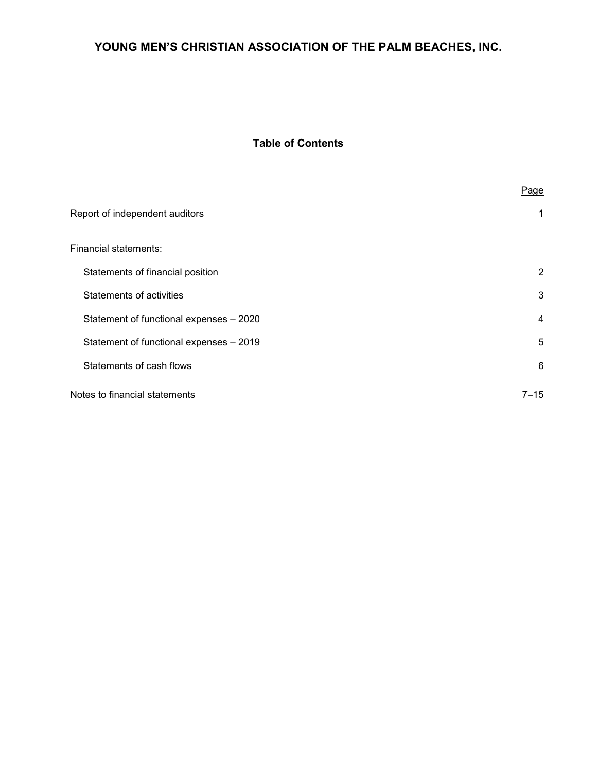# **Table of Contents**

|                                         | Page           |
|-----------------------------------------|----------------|
| Report of independent auditors          | 1              |
| Financial statements:                   |                |
| Statements of financial position        | $\overline{2}$ |
| Statements of activities                | 3              |
| Statement of functional expenses - 2020 | 4              |
| Statement of functional expenses - 2019 | 5              |
| Statements of cash flows                | 6              |
| Notes to financial statements           | $7 - 15$       |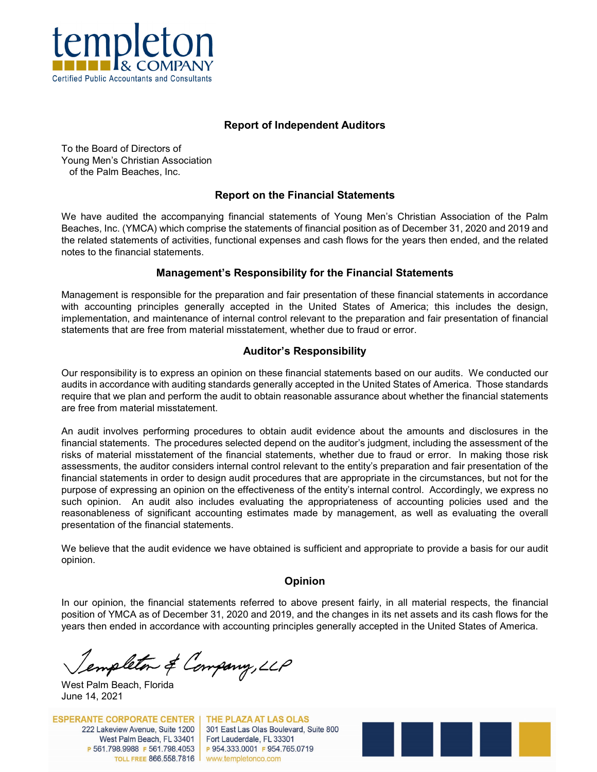

## **Report of Independent Auditors**

To the Board of Directors of Young Men's Christian Association of the Palm Beaches, Inc.

# **Report on the Financial Statements**

We have audited the accompanying financial statements of Young Men's Christian Association of the Palm Beaches, Inc. (YMCA) which comprise the statements of financial position as of December 31, 2020 and 2019 and the related statements of activities, functional expenses and cash flows for the years then ended, and the related notes to the financial statements.

## **Management's Responsibility for the Financial Statements**

Management is responsible for the preparation and fair presentation of these financial statements in accordance with accounting principles generally accepted in the United States of America; this includes the design, implementation, and maintenance of internal control relevant to the preparation and fair presentation of financial statements that are free from material misstatement, whether due to fraud or error.

## **Auditor's Responsibility**

Our responsibility is to express an opinion on these financial statements based on our audits. We conducted our audits in accordance with auditing standards generally accepted in the United States of America. Those standards require that we plan and perform the audit to obtain reasonable assurance about whether the financial statements are free from material misstatement.

An audit involves performing procedures to obtain audit evidence about the amounts and disclosures in the financial statements. The procedures selected depend on the auditor's judgment, including the assessment of the risks of material misstatement of the financial statements, whether due to fraud or error. In making those risk assessments, the auditor considers internal control relevant to the entity's preparation and fair presentation of the financial statements in order to design audit procedures that are appropriate in the circumstances, but not for the purpose of expressing an opinion on the effectiveness of the entity's internal control. Accordingly, we express no such opinion. An audit also includes evaluating the appropriateness of accounting policies used and the reasonableness of significant accounting estimates made by management, as well as evaluating the overall presentation of the financial statements.

We believe that the audit evidence we have obtained is sufficient and appropriate to provide a basis for our audit opinion.

### **Opinion**

In our opinion, the financial statements referred to above present fairly, in all material respects, the financial position of YMCA as of December 31, 2020 and 2019, and the changes in its net assets and its cash flows for the years then ended in accordance with accounting principles generally accepted in the United States of America.

Templeton & Company, LLP

West Palm Beach, Florida June 14, 2021

**ESPERANTE CORPORATE CENTER |** 222 Lakeview Avenue, Suite 1200 West Palm Beach, FL 33401 Fort Lauderdale, FL 33301 P561.798.9988 F561.798.4053 P954.333.0001 F954.765.0719 TOLL FREE 866.558.7816 | www.templetonco.com

THE PLAZA AT LAS OLAS 301 East Las Olas Boulevard, Suite 800

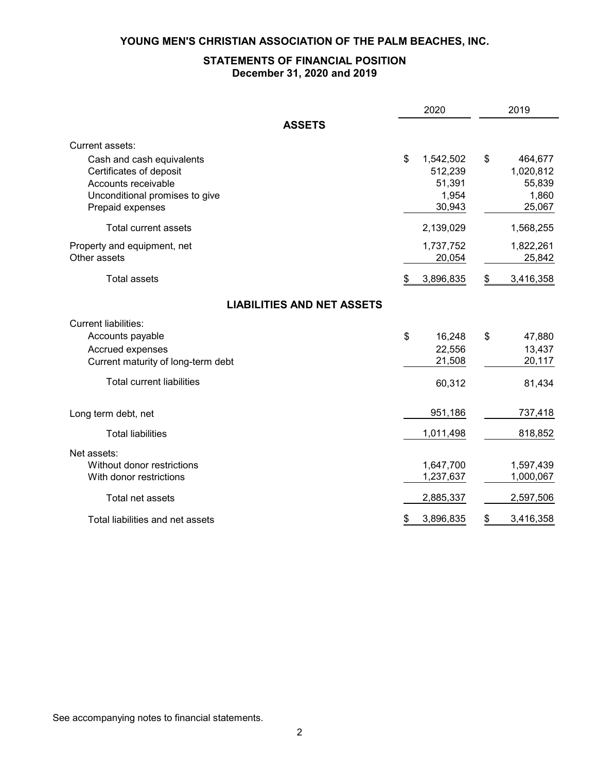## **STATEMENTS OF FINANCIAL POSITION December 31, 2020 and 2019**

|                                                                                                                                               | 2020 |                                                   | 2019                                                    |  |
|-----------------------------------------------------------------------------------------------------------------------------------------------|------|---------------------------------------------------|---------------------------------------------------------|--|
| <b>ASSETS</b>                                                                                                                                 |      |                                                   |                                                         |  |
| Current assets:                                                                                                                               |      |                                                   |                                                         |  |
| Cash and cash equivalents<br>Certificates of deposit<br>Accounts receivable<br>Unconditional promises to give<br>Prepaid expenses             | \$   | 1,542,502<br>512,239<br>51,391<br>1,954<br>30,943 | \$<br>464,677<br>1,020,812<br>55,839<br>1,860<br>25,067 |  |
| <b>Total current assets</b>                                                                                                                   |      | 2,139,029                                         | 1,568,255                                               |  |
| Property and equipment, net<br>Other assets                                                                                                   |      | 1,737,752<br>20,054                               | 1,822,261<br>25,842                                     |  |
| <b>Total assets</b>                                                                                                                           | \$   | 3,896,835                                         | \$<br>3,416,358                                         |  |
| <b>LIABILITIES AND NET ASSETS</b>                                                                                                             |      |                                                   |                                                         |  |
| <b>Current liabilities:</b><br>Accounts payable<br>Accrued expenses<br>Current maturity of long-term debt<br><b>Total current liabilities</b> | \$   | 16,248<br>22,556<br>21,508<br>60,312              | \$<br>47,880<br>13,437<br>20,117<br>81,434              |  |
| Long term debt, net                                                                                                                           |      | 951,186                                           | 737,418                                                 |  |
| <b>Total liabilities</b>                                                                                                                      |      | 1,011,498                                         | 818,852                                                 |  |
| Net assets:<br>Without donor restrictions<br>With donor restrictions<br>Total net assets                                                      |      | 1,647,700<br>1,237,637<br>2,885,337               | 1,597,439<br>1,000,067<br>2,597,506                     |  |
| Total liabilities and net assets                                                                                                              | \$   | 3,896,835                                         | \$<br>3,416,358                                         |  |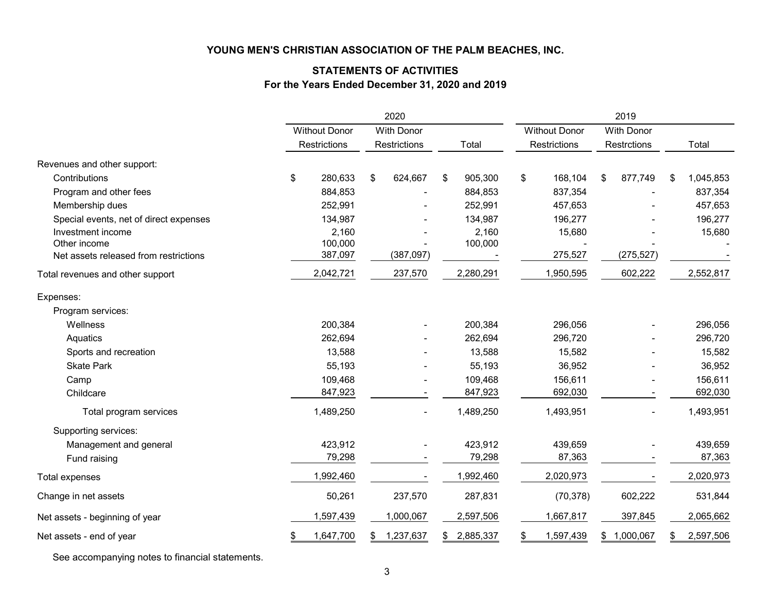# **STATEMENTS OF ACTIVITIES For the Years Ended December 31, 2020 and 2019**

|                                        |                      | 2020         |                   |              |    | 2019                 |    |                   |               |    |           |
|----------------------------------------|----------------------|--------------|-------------------|--------------|----|----------------------|----|-------------------|---------------|----|-----------|
|                                        | <b>Without Donor</b> |              | <b>With Donor</b> |              |    | <b>Without Donor</b> |    | <b>With Donor</b> |               |    |           |
|                                        |                      | Restrictions |                   | Restrictions |    | Total                |    | Restrictions      | Restrctions   |    | Total     |
| Revenues and other support:            |                      |              |                   |              |    |                      |    |                   |               |    |           |
| Contributions                          | \$                   | 280,633      | \$                | 624,667      | \$ | 905,300              | \$ | 168,104           | 877,749<br>\$ | \$ | 1,045,853 |
| Program and other fees                 |                      | 884,853      |                   |              |    | 884,853              |    | 837,354           |               |    | 837,354   |
| Membership dues                        |                      | 252,991      |                   |              |    | 252,991              |    | 457,653           |               |    | 457,653   |
| Special events, net of direct expenses |                      | 134,987      |                   |              |    | 134,987              |    | 196,277           |               |    | 196,277   |
| Investment income                      |                      | 2,160        |                   |              |    | 2,160                |    | 15,680            |               |    | 15,680    |
| Other income                           |                      | 100,000      |                   |              |    | 100,000              |    |                   |               |    |           |
| Net assets released from restrictions  |                      | 387,097      |                   | (387, 097)   |    |                      |    | 275,527           | (275, 527)    |    |           |
| Total revenues and other support       |                      | 2,042,721    |                   | 237,570      |    | 2,280,291            |    | 1,950,595         | 602,222       |    | 2,552,817 |
| Expenses:                              |                      |              |                   |              |    |                      |    |                   |               |    |           |
| Program services:                      |                      |              |                   |              |    |                      |    |                   |               |    |           |
| Wellness                               |                      | 200,384      |                   |              |    | 200,384              |    | 296,056           |               |    | 296,056   |
| Aquatics                               |                      | 262,694      |                   |              |    | 262,694              |    | 296,720           |               |    | 296,720   |
| Sports and recreation                  |                      | 13,588       |                   |              |    | 13,588               |    | 15,582            |               |    | 15,582    |
| <b>Skate Park</b>                      |                      | 55,193       |                   |              |    | 55,193               |    | 36,952            |               |    | 36,952    |
| Camp                                   |                      | 109,468      |                   |              |    | 109,468              |    | 156,611           |               |    | 156,611   |
| Childcare                              |                      | 847,923      |                   |              |    | 847,923              |    | 692,030           |               |    | 692,030   |
| Total program services                 |                      | 1,489,250    |                   |              |    | 1,489,250            |    | 1,493,951         |               |    | 1,493,951 |
| Supporting services:                   |                      |              |                   |              |    |                      |    |                   |               |    |           |
| Management and general                 |                      | 423,912      |                   |              |    | 423,912              |    | 439,659           |               |    | 439,659   |
| Fund raising                           |                      | 79,298       |                   |              |    | 79,298               |    | 87,363            |               |    | 87,363    |
| <b>Total expenses</b>                  |                      | 1,992,460    |                   |              |    | 1,992,460            |    | 2,020,973         |               |    | 2,020,973 |
| Change in net assets                   |                      | 50,261       |                   | 237,570      |    | 287,831              |    | (70, 378)         | 602,222       |    | 531,844   |
| Net assets - beginning of year         |                      | 1,597,439    |                   | 1,000,067    |    | 2,597,506            |    | 1,667,817         | 397,845       |    | 2,065,662 |
| Net assets - end of year               |                      | 1,647,700    |                   | \$1,237,637  |    | \$2,885,337          | \$ | 1,597,439         | \$1,000,067   | \$ | 2,597,506 |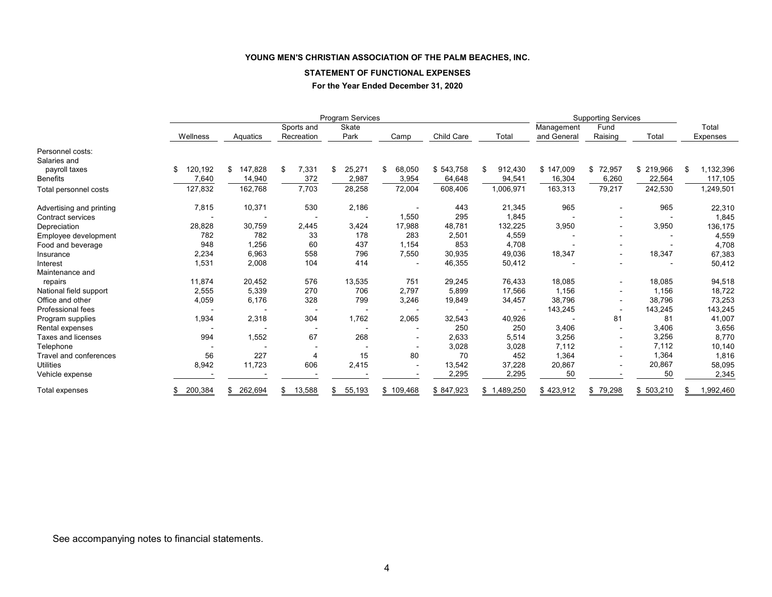#### **STATEMENT OF FUNCTIONAL EXPENSES**

**For the Year Ended December 31, 2020**

|                          |               | Program Services |                          |        |              |            |               |             | <b>Supporting Services</b> |            |                  |
|--------------------------|---------------|------------------|--------------------------|--------|--------------|------------|---------------|-------------|----------------------------|------------|------------------|
|                          |               |                  | Sports and               | Skate  |              |            |               | Management  | Fund                       |            | Total            |
|                          | Wellness      | Aquatics         | Recreation               | Park   | Camp         | Child Care | Total         | and General | Raising                    | Total      | <b>Expenses</b>  |
| Personnel costs:         |               |                  |                          |        |              |            |               |             |                            |            |                  |
| Salaries and             |               |                  |                          |        |              |            |               |             |                            |            |                  |
| payroll taxes            | 120,192<br>\$ | 147,828<br>\$    | 7,331<br>\$              | 25,271 | \$<br>68,050 | \$543,758  | 912,430<br>\$ | \$147,009   | \$<br>72,957               | \$ 219,966 | 1,132,396<br>-\$ |
| <b>Benefits</b>          | 7,640         | 14,940           | 372                      | 2,987  | 3,954        | 64,648     | 94,541        | 16,304      | 6,260                      | 22,564     | 117,105          |
| Total personnel costs    | 127,832       | 162,768          | 7,703                    | 28,258 | 72,004       | 608,406    | 1,006,971     | 163,313     | 79,217                     | 242,530    | 1,249,501        |
| Advertising and printing | 7,815         | 10,371           | 530                      | 2,186  |              | 443        | 21,345        | 965         |                            | 965        | 22,310           |
| <b>Contract services</b> |               |                  |                          |        | 1,550        | 295        | 1,845         |             |                            |            | 1,845            |
| Depreciation             | 28,828        | 30,759           | 2,445                    | 3,424  | 17,988       | 48,781     | 132,225       | 3,950       |                            | 3,950      | 136,175          |
| Employee development     | 782           | 782              | 33                       | 178    | 283          | 2,501      | 4,559         |             |                            |            | 4,559            |
| Food and beverage        | 948           | 1,256            | 60                       | 437    | 1,154        | 853        | 4,708         |             |                            |            | 4,708            |
| Insurance                | 2,234         | 6,963            | 558                      | 796    | 7,550        | 30,935     | 49,036        | 18,347      |                            | 18,347     | 67,383           |
| Interest                 | 1,531         | 2,008            | 104                      | 414    |              | 46,355     | 50,412        |             |                            |            | 50,412           |
| Maintenance and          |               |                  |                          |        |              |            |               |             |                            |            |                  |
| repairs                  | 11,874        | 20,452           | 576                      | 13,535 | 751          | 29,245     | 76,433        | 18,085      | $\overline{\phantom{a}}$   | 18,085     | 94,518           |
| National field support   | 2,555         | 5,339            | 270                      | 706    | 2,797        | 5,899      | 17,566        | 1,156       |                            | 1,156      | 18,722           |
| Office and other         | 4,059         | 6,176            | 328                      | 799    | 3,246        | 19,849     | 34,457        | 38,796      | $\overline{\phantom{a}}$   | 38,796     | 73,253           |
| Professional fees        |               |                  |                          |        |              |            |               | 143,245     |                            | 143,245    | 143,245          |
| Program supplies         | 1,934         | 2,318            | 304                      | 1,762  | 2,065        | 32,543     | 40,926        |             | 81                         | 81         | 41,007           |
| Rental expenses          |               |                  | $\overline{\phantom{a}}$ |        |              | 250        | 250           | 3,406       |                            | 3,406      | 3,656            |
| Taxes and licenses       | 994           | 1,552            | 67                       | 268    |              | 2,633      | 5,514         | 3,256       |                            | 3,256      | 8,770            |
| Telephone                |               |                  |                          |        |              | 3,028      | 3,028         | 7,112       | $\overline{\phantom{a}}$   | 7,112      | 10,140           |
| Travel and conferences   | 56            | 227              |                          | 15     | 80           | 70         | 452           | 1,364       | $\overline{\phantom{a}}$   | 1,364      | 1,816            |
| <b>Utilities</b>         | 8,942         | 11,723           | 606                      | 2,415  |              | 13,542     | 37,228        | 20,867      |                            | 20,867     | 58,095           |
| Vehicle expense          |               |                  |                          |        |              | 2,295      | 2,295         | 50          |                            | 50         | 2,345            |
| Total expenses           | 200,384       | 262,694          | 13,588                   | 55,193 | \$109,468    | \$847,923  | \$1,489,250   | \$423,912   | 79,298<br>\$.              | \$503,210  | ,992,460         |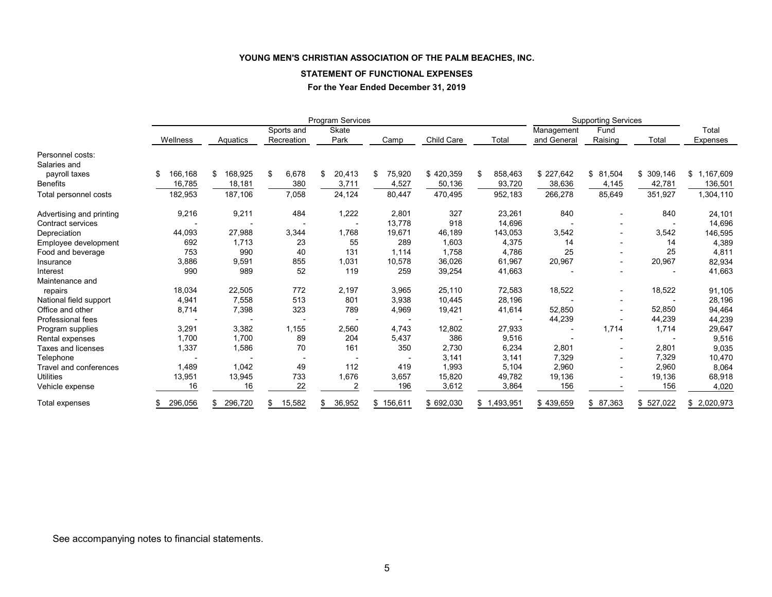#### **STATEMENT OF FUNCTIONAL EXPENSES**

**For the Year Ended December 31, 2019**

|                          |               | Program Services |             |              |                          |            | <b>Supporting Services</b> |             |                          |           |             |
|--------------------------|---------------|------------------|-------------|--------------|--------------------------|------------|----------------------------|-------------|--------------------------|-----------|-------------|
|                          |               |                  | Sports and  | Skate        |                          |            |                            | Management  | Fund                     |           | Total       |
|                          | Wellness      | Aquatics         | Recreation  | Park         | Camp                     | Child Care | Total                      | and General | Raising                  | Total     | Expenses    |
| Personnel costs:         |               |                  |             |              |                          |            |                            |             |                          |           |             |
| Salaries and             |               |                  |             |              |                          |            |                            |             |                          |           |             |
| payroll taxes            | \$<br>166,168 | 168,925<br>\$    | 6,678<br>\$ | 20,413<br>\$ | 75,920<br>\$             | \$420,359  | \$<br>858,463              | \$227,642   | \$<br>81,504             | \$309,146 | \$1,167,609 |
| <b>Benefits</b>          | 16,785        | 18,181           | 380         | 3,711        | 4,527                    | 50,136     | 93,720                     | 38,636      | 4,145                    | 42,781    | 136,501     |
| Total personnel costs    | 182,953       | 187,106          | 7,058       | 24,124       | 80,447                   | 470,495    | 952,183                    | 266,278     | 85,649                   | 351,927   | 1,304,110   |
| Advertising and printing | 9,216         | 9,211            | 484         | 1,222        | 2,801                    | 327        | 23,261                     | 840         |                          | 840       | 24,101      |
| <b>Contract services</b> |               |                  |             |              | 13,778                   | 918        | 14,696                     |             |                          |           | 14,696      |
| Depreciation             | 44,093        | 27,988           | 3,344       | 1,768        | 19,671                   | 46,189     | 143,053                    | 3,542       |                          | 3,542     | 146,595     |
| Employee development     | 692           | 1,713            | 23          | 55           | 289                      | 1,603      | 4,375                      | 14          |                          | 14        | 4,389       |
| Food and beverage        | 753           | 990              | 40          | 131          | 1,114                    | 1,758      | 4,786                      | 25          |                          | 25        | 4,811       |
| Insurance                | 3,886         | 9,591            | 855         | 1,031        | 10,578                   | 36,026     | 61,967                     | 20,967      |                          | 20,967    | 82,934      |
| Interest                 | 990           | 989              | 52          | 119          | 259                      | 39,254     | 41,663                     |             |                          |           | 41,663      |
| Maintenance and          |               |                  |             |              |                          |            |                            |             |                          |           |             |
| repairs                  | 18,034        | 22,505           | 772         | 2,197        | 3,965                    | 25,110     | 72,583                     | 18,522      |                          | 18,522    | 91,105      |
| National field support   | 4,941         | 7,558            | 513         | 801          | 3,938                    | 10,445     | 28,196                     |             |                          |           | 28,196      |
| Office and other         | 8,714         | 7,398            | 323         | 789          | 4,969                    | 19,421     | 41,614                     | 52,850      |                          | 52,850    | 94,464      |
| Professional fees        |               |                  |             |              | $\overline{\phantom{0}}$ |            |                            | 44,239      |                          | 44,239    | 44,239      |
| Program supplies         | 3,291         | 3,382            | 1,155       | 2,560        | 4,743                    | 12,802     | 27,933                     |             | 1,714                    | 1,714     | 29,647      |
| Rental expenses          | 1,700         | 1,700            | 89          | 204          | 5,437                    | 386        | 9,516                      |             |                          |           | 9,516       |
| Taxes and licenses       | 1,337         | 1,586            | 70          | 161          | 350                      | 2,730      | 6,234                      | 2,801       |                          | 2,801     | 9,035       |
| Telephone                |               |                  |             |              |                          | 3,141      | 3,141                      | 7,329       | $\overline{\phantom{a}}$ | 7,329     | 10,470      |
| Travel and conferences   | 1,489         | 1,042            | 49          | 112          | 419                      | 1,993      | 5,104                      | 2,960       | $\overline{\phantom{a}}$ | 2,960     | 8,064       |
| <b>Utilities</b>         | 13,951        | 13,945           | 733         | 1,676        | 3,657                    | 15,820     | 49,782                     | 19,136      | $\overline{\phantom{a}}$ | 19,136    | 68,918      |
| Vehicle expense          | 16            | 16               | 22          | 2            | 196                      | 3,612      | 3,864                      | 156         |                          | 156       | 4,020       |
| <b>Total expenses</b>    | 296,056       | 296,720          | 15,582      | 36,952       | \$156,611                | \$692,030  | 1,493,951<br>\$            | \$439,659   | 87,363<br>\$             | 527,022   | 2,020,973   |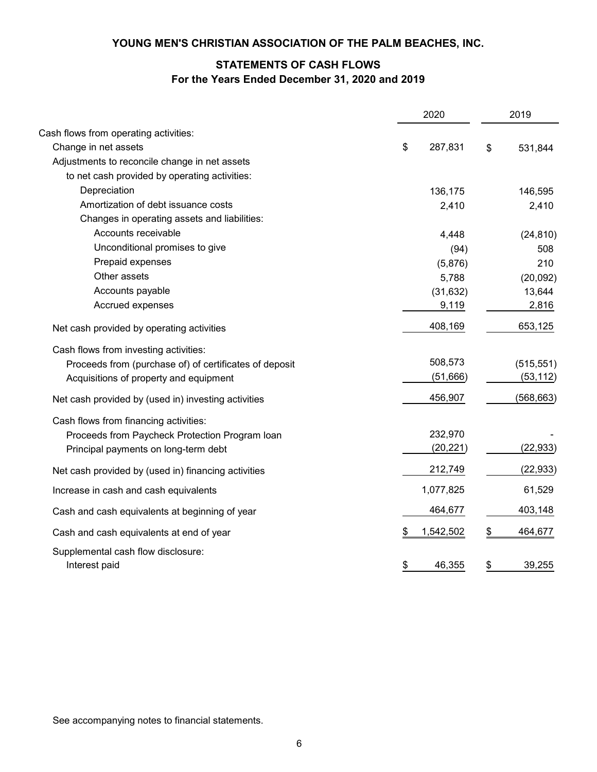# **STATEMENTS OF CASH FLOWS For the Years Ended December 31, 2020 and 2019**

|                                                        | 2020            | 2019 |            |  |
|--------------------------------------------------------|-----------------|------|------------|--|
| Cash flows from operating activities:                  |                 |      |            |  |
| Change in net assets                                   | \$<br>287,831   | \$   | 531,844    |  |
| Adjustments to reconcile change in net assets          |                 |      |            |  |
| to net cash provided by operating activities:          |                 |      |            |  |
| Depreciation                                           | 136,175         |      | 146,595    |  |
| Amortization of debt issuance costs                    | 2,410           |      | 2,410      |  |
| Changes in operating assets and liabilities:           |                 |      |            |  |
| Accounts receivable                                    | 4,448           |      | (24, 810)  |  |
| Unconditional promises to give                         | (94)            |      | 508        |  |
| Prepaid expenses                                       | (5,876)         |      | 210        |  |
| Other assets                                           | 5,788           |      | (20, 092)  |  |
| Accounts payable                                       | (31, 632)       |      | 13,644     |  |
| Accrued expenses                                       | 9,119           |      | 2,816      |  |
| Net cash provided by operating activities              | 408,169         |      | 653,125    |  |
| Cash flows from investing activities:                  |                 |      |            |  |
| Proceeds from (purchase of) of certificates of deposit | 508,573         |      | (515, 551) |  |
| Acquisitions of property and equipment                 | (51,666)        |      | (53, 112)  |  |
| Net cash provided by (used in) investing activities    | 456,907         |      | (568, 663) |  |
| Cash flows from financing activities:                  |                 |      |            |  |
| Proceeds from Paycheck Protection Program Ioan         | 232,970         |      |            |  |
| Principal payments on long-term debt                   | (20, 221)       |      | (22, 933)  |  |
| Net cash provided by (used in) financing activities    | 212,749         |      | (22, 933)  |  |
| Increase in cash and cash equivalents                  | 1,077,825       |      | 61,529     |  |
| Cash and cash equivalents at beginning of year         | 464,677         |      | 403,148    |  |
| Cash and cash equivalents at end of year               | \$<br>1,542,502 | \$   | 464,677    |  |
| Supplemental cash flow disclosure:                     |                 |      |            |  |
| Interest paid                                          | \$<br>46,355    | \$   | 39,255     |  |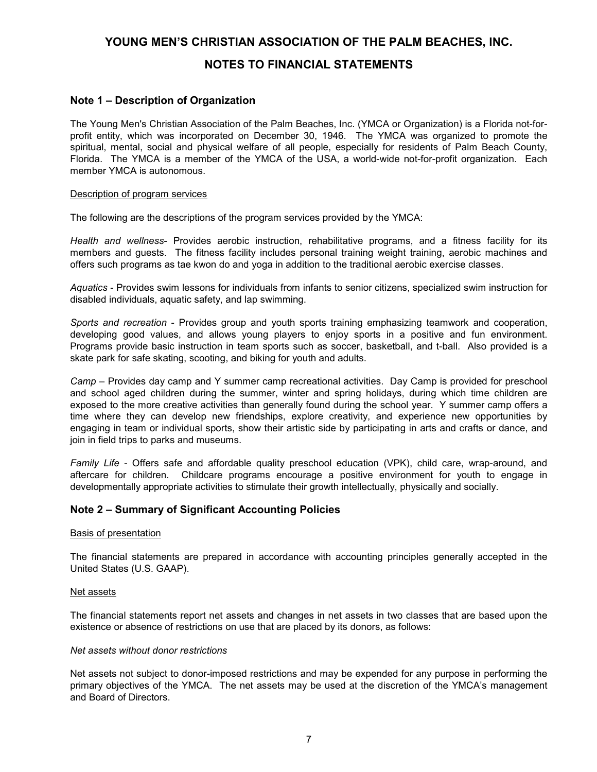# **NOTES TO FINANCIAL STATEMENTS**

### **Note 1 – Description of Organization**

The Young Men's Christian Association of the Palm Beaches, Inc. (YMCA or Organization) is a Florida not-forprofit entity, which was incorporated on December 30, 1946. The YMCA was organized to promote the spiritual, mental, social and physical welfare of all people, especially for residents of Palm Beach County, Florida. The YMCA is a member of the YMCA of the USA, a world-wide not-for-profit organization. Each member YMCA is autonomous.

#### Description of program services

The following are the descriptions of the program services provided by the YMCA:

*Health and wellness*- Provides aerobic instruction, rehabilitative programs, and a fitness facility for its members and guests. The fitness facility includes personal training weight training, aerobic machines and offers such programs as tae kwon do and yoga in addition to the traditional aerobic exercise classes.

*Aquatics* - Provides swim lessons for individuals from infants to senior citizens, specialized swim instruction for disabled individuals, aquatic safety, and lap swimming.

*Sports and recreation* - Provides group and youth sports training emphasizing teamwork and cooperation, developing good values, and allows young players to enjoy sports in a positive and fun environment. Programs provide basic instruction in team sports such as soccer, basketball, and t-ball. Also provided is a skate park for safe skating, scooting, and biking for youth and adults.

*Camp* – Provides day camp and Y summer camp recreational activities. Day Camp is provided for preschool and school aged children during the summer, winter and spring holidays, during which time children are exposed to the more creative activities than generally found during the school year. Y summer camp offers a time where they can develop new friendships, explore creativity, and experience new opportunities by engaging in team or individual sports, show their artistic side by participating in arts and crafts or dance, and join in field trips to parks and museums.

*Family Life* - Offers safe and affordable quality preschool education (VPK), child care, wrap-around, and aftercare for children. Childcare programs encourage a positive environment for youth to engage in developmentally appropriate activities to stimulate their growth intellectually, physically and socially.

### **Note 2 – Summary of Significant Accounting Policies**

#### Basis of presentation

The financial statements are prepared in accordance with accounting principles generally accepted in the United States (U.S. GAAP).

#### Net assets

The financial statements report net assets and changes in net assets in two classes that are based upon the existence or absence of restrictions on use that are placed by its donors, as follows:

#### *Net assets without donor restrictions*

Net assets not subject to donor-imposed restrictions and may be expended for any purpose in performing the primary objectives of the YMCA. The net assets may be used at the discretion of the YMCA's management and Board of Directors.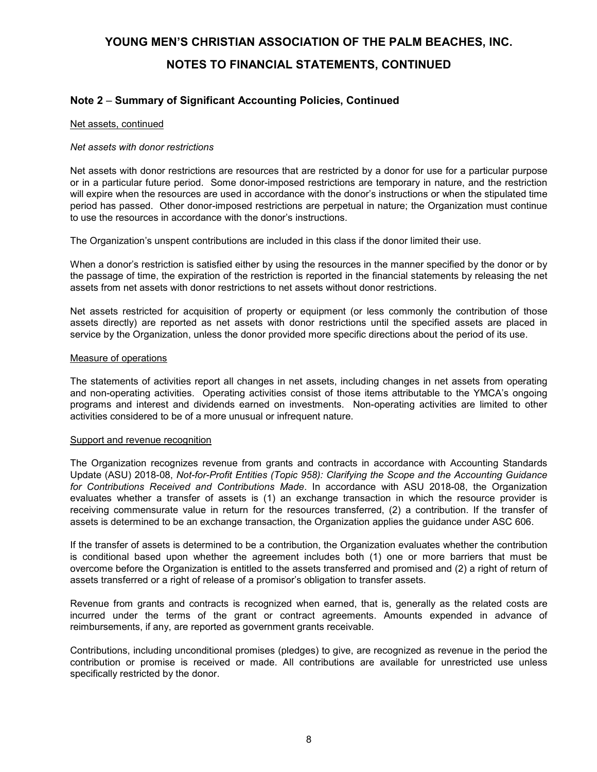# **YOUNG MEN'S CHRISTIAN ASSOCIATION OF THE PALM BEACHES, INC. NOTES TO FINANCIAL STATEMENTS, CONTINUED**

# **Note 2** – **Summary of Significant Accounting Policies, Continued**

#### Net assets, continued

#### *Net assets with donor restrictions*

Net assets with donor restrictions are resources that are restricted by a donor for use for a particular purpose or in a particular future period. Some donor-imposed restrictions are temporary in nature, and the restriction will expire when the resources are used in accordance with the donor's instructions or when the stipulated time period has passed. Other donor-imposed restrictions are perpetual in nature; the Organization must continue to use the resources in accordance with the donor's instructions.

The Organization's unspent contributions are included in this class if the donor limited their use.

When a donor's restriction is satisfied either by using the resources in the manner specified by the donor or by the passage of time, the expiration of the restriction is reported in the financial statements by releasing the net assets from net assets with donor restrictions to net assets without donor restrictions.

Net assets restricted for acquisition of property or equipment (or less commonly the contribution of those assets directly) are reported as net assets with donor restrictions until the specified assets are placed in service by the Organization, unless the donor provided more specific directions about the period of its use.

#### Measure of operations

The statements of activities report all changes in net assets, including changes in net assets from operating and non-operating activities. Operating activities consist of those items attributable to the YMCA's ongoing programs and interest and dividends earned on investments. Non-operating activities are limited to other activities considered to be of a more unusual or infrequent nature.

#### Support and revenue recognition

The Organization recognizes revenue from grants and contracts in accordance with Accounting Standards Update (ASU) 2018-08, *Not-for-Profit Entities (Topic 958): Clarifying the Scope and the Accounting Guidance for Contributions Received and Contributions Made*. In accordance with ASU 2018-08, the Organization evaluates whether a transfer of assets is (1) an exchange transaction in which the resource provider is receiving commensurate value in return for the resources transferred, (2) a contribution. If the transfer of assets is determined to be an exchange transaction, the Organization applies the guidance under ASC 606.

If the transfer of assets is determined to be a contribution, the Organization evaluates whether the contribution is conditional based upon whether the agreement includes both (1) one or more barriers that must be overcome before the Organization is entitled to the assets transferred and promised and (2) a right of return of assets transferred or a right of release of a promisor's obligation to transfer assets.

Revenue from grants and contracts is recognized when earned, that is, generally as the related costs are incurred under the terms of the grant or contract agreements. Amounts expended in advance of reimbursements, if any, are reported as government grants receivable.

Contributions, including unconditional promises (pledges) to give, are recognized as revenue in the period the contribution or promise is received or made. All contributions are available for unrestricted use unless specifically restricted by the donor.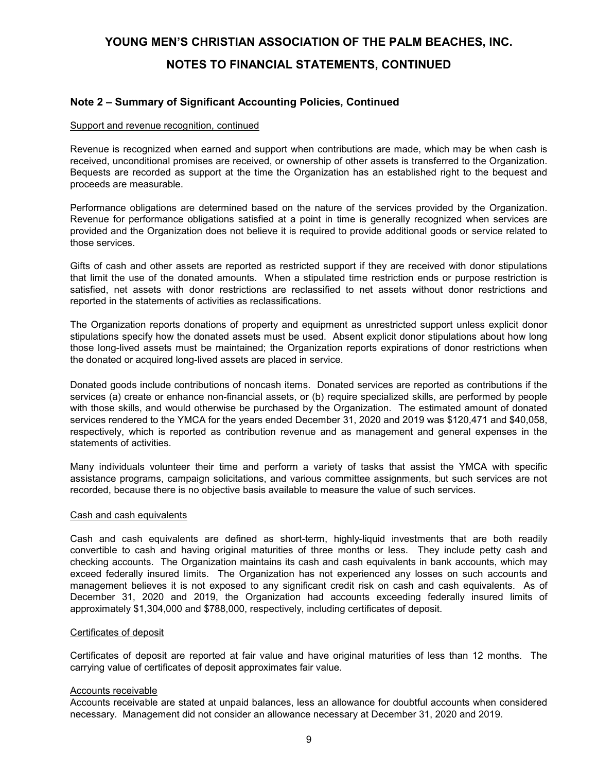# **YOUNG MEN'S CHRISTIAN ASSOCIATION OF THE PALM BEACHES, INC. NOTES TO FINANCIAL STATEMENTS, CONTINUED**

# **Note 2 – Summary of Significant Accounting Policies, Continued**

#### Support and revenue recognition, continued

Revenue is recognized when earned and support when contributions are made, which may be when cash is received, unconditional promises are received, or ownership of other assets is transferred to the Organization. Bequests are recorded as support at the time the Organization has an established right to the bequest and proceeds are measurable.

Performance obligations are determined based on the nature of the services provided by the Organization. Revenue for performance obligations satisfied at a point in time is generally recognized when services are provided and the Organization does not believe it is required to provide additional goods or service related to those services.

Gifts of cash and other assets are reported as restricted support if they are received with donor stipulations that limit the use of the donated amounts. When a stipulated time restriction ends or purpose restriction is satisfied, net assets with donor restrictions are reclassified to net assets without donor restrictions and reported in the statements of activities as reclassifications.

The Organization reports donations of property and equipment as unrestricted support unless explicit donor stipulations specify how the donated assets must be used. Absent explicit donor stipulations about how long those long-lived assets must be maintained; the Organization reports expirations of donor restrictions when the donated or acquired long-lived assets are placed in service.

Donated goods include contributions of noncash items. Donated services are reported as contributions if the services (a) create or enhance non-financial assets, or (b) require specialized skills, are performed by people with those skills, and would otherwise be purchased by the Organization. The estimated amount of donated services rendered to the YMCA for the years ended December 31, 2020 and 2019 was \$120,471 and \$40,058, respectively, which is reported as contribution revenue and as management and general expenses in the statements of activities.

Many individuals volunteer their time and perform a variety of tasks that assist the YMCA with specific assistance programs, campaign solicitations, and various committee assignments, but such services are not recorded, because there is no objective basis available to measure the value of such services.

#### Cash and cash equivalents

Cash and cash equivalents are defined as short-term, highly-liquid investments that are both readily convertible to cash and having original maturities of three months or less. They include petty cash and checking accounts. The Organization maintains its cash and cash equivalents in bank accounts, which may exceed federally insured limits. The Organization has not experienced any losses on such accounts and management believes it is not exposed to any significant credit risk on cash and cash equivalents. As of December 31, 2020 and 2019, the Organization had accounts exceeding federally insured limits of approximately \$1,304,000 and \$788,000, respectively, including certificates of deposit.

#### Certificates of deposit

Certificates of deposit are reported at fair value and have original maturities of less than 12 months. The carrying value of certificates of deposit approximates fair value.

#### Accounts receivable

Accounts receivable are stated at unpaid balances, less an allowance for doubtful accounts when considered necessary. Management did not consider an allowance necessary at December 31, 2020 and 2019.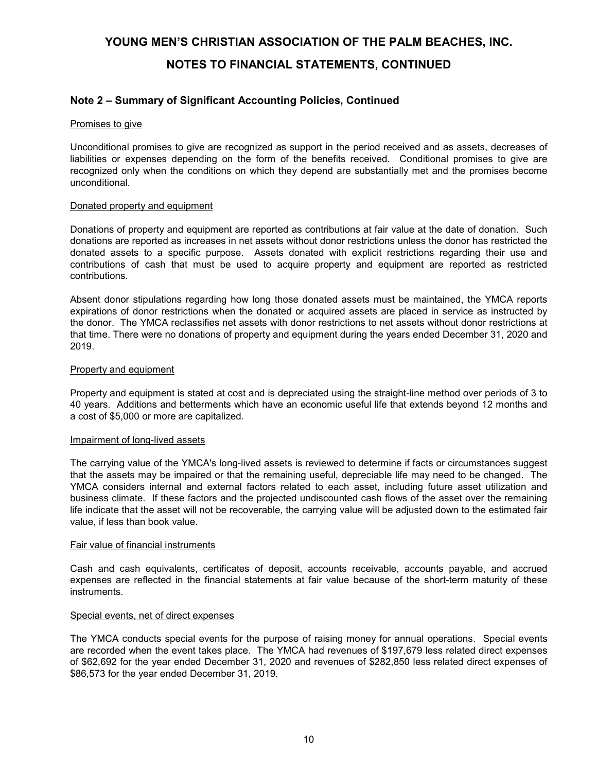# **NOTES TO FINANCIAL STATEMENTS, CONTINUED**

## **Note 2 – Summary of Significant Accounting Policies, Continued**

#### Promises to give

Unconditional promises to give are recognized as support in the period received and as assets, decreases of liabilities or expenses depending on the form of the benefits received. Conditional promises to give are recognized only when the conditions on which they depend are substantially met and the promises become unconditional.

#### Donated property and equipment

Donations of property and equipment are reported as contributions at fair value at the date of donation. Such donations are reported as increases in net assets without donor restrictions unless the donor has restricted the donated assets to a specific purpose. Assets donated with explicit restrictions regarding their use and contributions of cash that must be used to acquire property and equipment are reported as restricted contributions.

Absent donor stipulations regarding how long those donated assets must be maintained, the YMCA reports expirations of donor restrictions when the donated or acquired assets are placed in service as instructed by the donor. The YMCA reclassifies net assets with donor restrictions to net assets without donor restrictions at that time. There were no donations of property and equipment during the years ended December 31, 2020 and 2019.

#### Property and equipment

Property and equipment is stated at cost and is depreciated using the straight-line method over periods of 3 to 40 years. Additions and betterments which have an economic useful life that extends beyond 12 months and a cost of \$5,000 or more are capitalized.

#### Impairment of long-lived assets

The carrying value of the YMCA's long-lived assets is reviewed to determine if facts or circumstances suggest that the assets may be impaired or that the remaining useful, depreciable life may need to be changed. The YMCA considers internal and external factors related to each asset, including future asset utilization and business climate. If these factors and the projected undiscounted cash flows of the asset over the remaining life indicate that the asset will not be recoverable, the carrying value will be adjusted down to the estimated fair value, if less than book value.

#### Fair value of financial instruments

Cash and cash equivalents, certificates of deposit, accounts receivable, accounts payable, and accrued expenses are reflected in the financial statements at fair value because of the short-term maturity of these instruments.

#### Special events, net of direct expenses

The YMCA conducts special events for the purpose of raising money for annual operations. Special events are recorded when the event takes place. The YMCA had revenues of \$197,679 less related direct expenses of \$62,692 for the year ended December 31, 2020 and revenues of \$282,850 less related direct expenses of \$86,573 for the year ended December 31, 2019.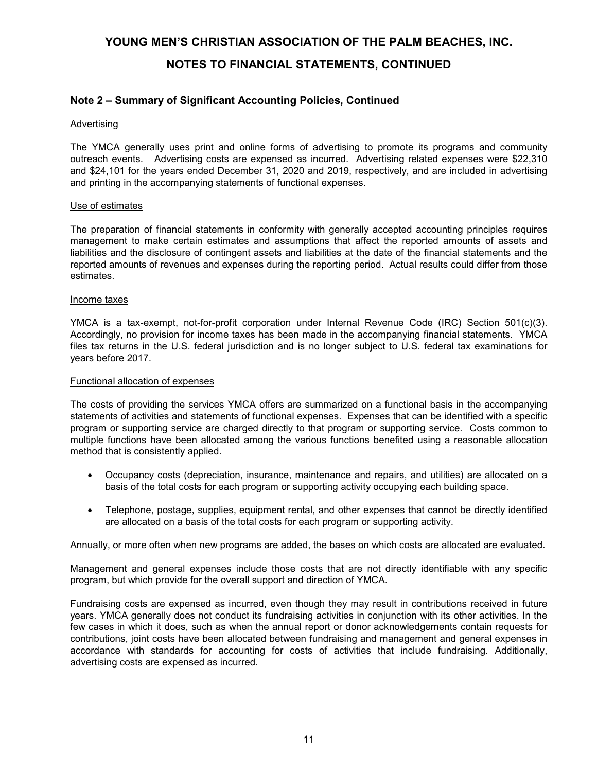# **NOTES TO FINANCIAL STATEMENTS, CONTINUED**

## **Note 2 – Summary of Significant Accounting Policies, Continued**

#### **Advertising**

The YMCA generally uses print and online forms of advertising to promote its programs and community outreach events. Advertising costs are expensed as incurred. Advertising related expenses were \$22,310 and \$24,101 for the years ended December 31, 2020 and 2019, respectively, and are included in advertising and printing in the accompanying statements of functional expenses.

#### Use of estimates

The preparation of financial statements in conformity with generally accepted accounting principles requires management to make certain estimates and assumptions that affect the reported amounts of assets and liabilities and the disclosure of contingent assets and liabilities at the date of the financial statements and the reported amounts of revenues and expenses during the reporting period. Actual results could differ from those estimates.

#### Income taxes

YMCA is a tax-exempt, not-for-profit corporation under Internal Revenue Code (IRC) Section 501(c)(3). Accordingly, no provision for income taxes has been made in the accompanying financial statements. YMCA files tax returns in the U.S. federal jurisdiction and is no longer subject to U.S. federal tax examinations for years before 2017.

### Functional allocation of expenses

The costs of providing the services YMCA offers are summarized on a functional basis in the accompanying statements of activities and statements of functional expenses. Expenses that can be identified with a specific program or supporting service are charged directly to that program or supporting service. Costs common to multiple functions have been allocated among the various functions benefited using a reasonable allocation method that is consistently applied.

- Occupancy costs (depreciation, insurance, maintenance and repairs, and utilities) are allocated on a basis of the total costs for each program or supporting activity occupying each building space.
- Telephone, postage, supplies, equipment rental, and other expenses that cannot be directly identified are allocated on a basis of the total costs for each program or supporting activity.

Annually, or more often when new programs are added, the bases on which costs are allocated are evaluated.

Management and general expenses include those costs that are not directly identifiable with any specific program, but which provide for the overall support and direction of YMCA.

Fundraising costs are expensed as incurred, even though they may result in contributions received in future years. YMCA generally does not conduct its fundraising activities in conjunction with its other activities. In the few cases in which it does, such as when the annual report or donor acknowledgements contain requests for contributions, joint costs have been allocated between fundraising and management and general expenses in accordance with standards for accounting for costs of activities that include fundraising. Additionally, advertising costs are expensed as incurred.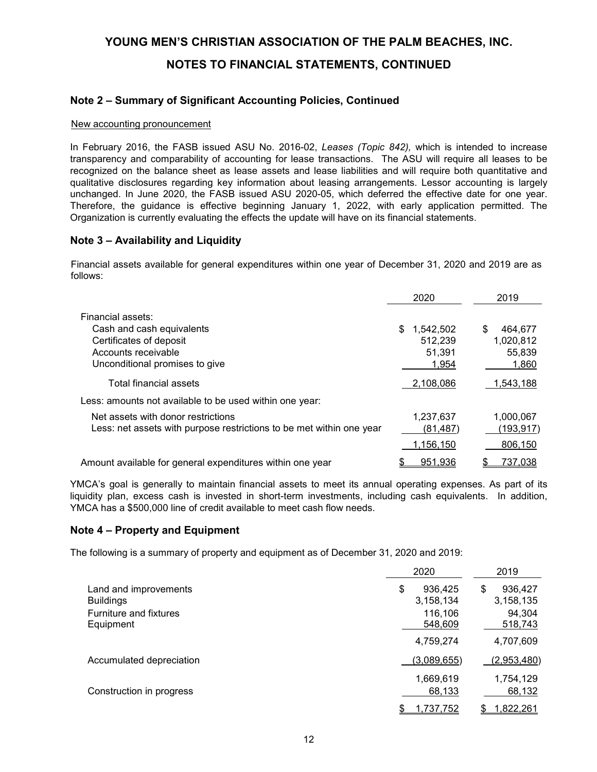# **NOTES TO FINANCIAL STATEMENTS, CONTINUED**

## **Note 2 – Summary of Significant Accounting Policies, Continued**

#### New accounting pronouncement

In February 2016, the FASB issued ASU No. 2016-02, *Leases (Topic 842),* which is intended to increase transparency and comparability of accounting for lease transactions. The ASU will require all leases to be recognized on the balance sheet as lease assets and lease liabilities and will require both quantitative and qualitative disclosures regarding key information about leasing arrangements. Lessor accounting is largely unchanged. In June 2020, the FASB issued ASU 2020-05, which deferred the effective date for one year. Therefore, the guidance is effective beginning January 1, 2022, with early application permitted. The Organization is currently evaluating the effects the update will have on its financial statements.

### **Note 3 – Availability and Liquidity**

Financial assets available for general expenditures within one year of December 31, 2020 and 2019 are as follows:

|                                                                      | 2020             | 2019         |
|----------------------------------------------------------------------|------------------|--------------|
| Financial assets:                                                    |                  |              |
| Cash and cash equivalents                                            | 1,542,502<br>\$. | 464.677<br>S |
| Certificates of deposit                                              | 512.239          | 1,020,812    |
| Accounts receivable                                                  | 51,391           | 55,839       |
| Unconditional promises to give                                       | 1.954            | 1,860        |
| Total financial assets                                               | 2,108,086        | 1,543,188    |
| Less: amounts not available to be used within one year:              |                  |              |
| Net assets with donor restrictions                                   | 1,237,637        | 1,000,067    |
| Less: net assets with purpose restrictions to be met within one year | (81, 487)        | (193, 917)   |
|                                                                      | 1,156,150        | 806,150      |
| Amount available for general expenditures within one year            | 951.936          | 737.038      |

YMCA's goal is generally to maintain financial assets to meet its annual operating expenses. As part of its liquidity plan, excess cash is invested in short-term investments, including cash equivalents. In addition, YMCA has a \$500,000 line of credit available to meet cash flow needs.

### **Note 4 – Property and Equipment**

The following is a summary of property and equipment as of December 31, 2020 and 2019:

|                                            | 2020                       | 2019                      |
|--------------------------------------------|----------------------------|---------------------------|
| Land and improvements<br><b>Buildings</b>  | \$<br>936,425<br>3,158,134 | 936,427<br>S<br>3,158,135 |
| <b>Furniture and fixtures</b><br>Equipment | 116,106<br>548,609         | 94,304<br>518,743         |
|                                            | 4,759,274                  | 4,707,609                 |
| Accumulated depreciation                   | (3,089,655)                | (2,953,480)               |
| Construction in progress                   | 1,669,619<br>68,133        | 1,754,129<br>68,132       |
|                                            | <u>1,737,752</u>           | .822.261                  |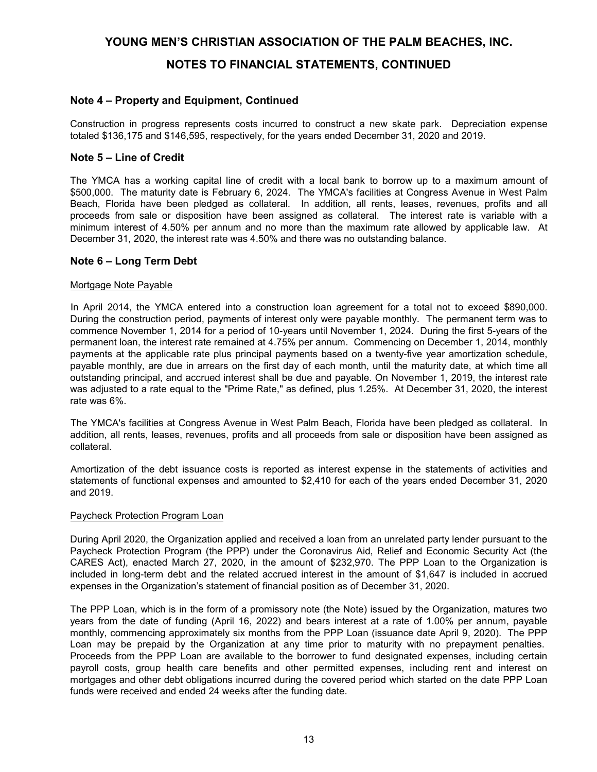# **NOTES TO FINANCIAL STATEMENTS, CONTINUED**

## **Note 4 – Property and Equipment, Continued**

Construction in progress represents costs incurred to construct a new skate park. Depreciation expense totaled \$136,175 and \$146,595, respectively, for the years ended December 31, 2020 and 2019.

### **Note 5 – Line of Credit**

The YMCA has a working capital line of credit with a local bank to borrow up to a maximum amount of \$500,000. The maturity date is February 6, 2024. The YMCA's facilities at Congress Avenue in West Palm Beach, Florida have been pledged as collateral. In addition, all rents, leases, revenues, profits and all proceeds from sale or disposition have been assigned as collateral. The interest rate is variable with a minimum interest of 4.50% per annum and no more than the maximum rate allowed by applicable law. At December 31, 2020, the interest rate was 4.50% and there was no outstanding balance.

### **Note 6 – Long Term Debt**

#### Mortgage Note Payable

In April 2014, the YMCA entered into a construction loan agreement for a total not to exceed \$890,000. During the construction period, payments of interest only were payable monthly. The permanent term was to commence November 1, 2014 for a period of 10-years until November 1, 2024. During the first 5-years of the permanent loan, the interest rate remained at 4.75% per annum. Commencing on December 1, 2014, monthly payments at the applicable rate plus principal payments based on a twenty-five year amortization schedule, payable monthly, are due in arrears on the first day of each month, until the maturity date, at which time all outstanding principal, and accrued interest shall be due and payable. On November 1, 2019, the interest rate was adjusted to a rate equal to the "Prime Rate," as defined, plus 1.25%. At December 31, 2020, the interest rate was 6%.

The YMCA's facilities at Congress Avenue in West Palm Beach, Florida have been pledged as collateral. In addition, all rents, leases, revenues, profits and all proceeds from sale or disposition have been assigned as collateral.

Amortization of the debt issuance costs is reported as interest expense in the statements of activities and statements of functional expenses and amounted to \$2,410 for each of the years ended December 31, 2020 and 2019.

#### Paycheck Protection Program Loan

During April 2020, the Organization applied and received a loan from an unrelated party lender pursuant to the Paycheck Protection Program (the PPP) under the Coronavirus Aid, Relief and Economic Security Act (the CARES Act), enacted March 27, 2020, in the amount of \$232,970. The PPP Loan to the Organization is included in long-term debt and the related accrued interest in the amount of \$1,647 is included in accrued expenses in the Organization's statement of financial position as of December 31, 2020.

The PPP Loan, which is in the form of a promissory note (the Note) issued by the Organization, matures two years from the date of funding (April 16, 2022) and bears interest at a rate of 1.00% per annum, payable monthly, commencing approximately six months from the PPP Loan (issuance date April 9, 2020). The PPP Loan may be prepaid by the Organization at any time prior to maturity with no prepayment penalties. Proceeds from the PPP Loan are available to the borrower to fund designated expenses, including certain payroll costs, group health care benefits and other permitted expenses, including rent and interest on mortgages and other debt obligations incurred during the covered period which started on the date PPP Loan funds were received and ended 24 weeks after the funding date.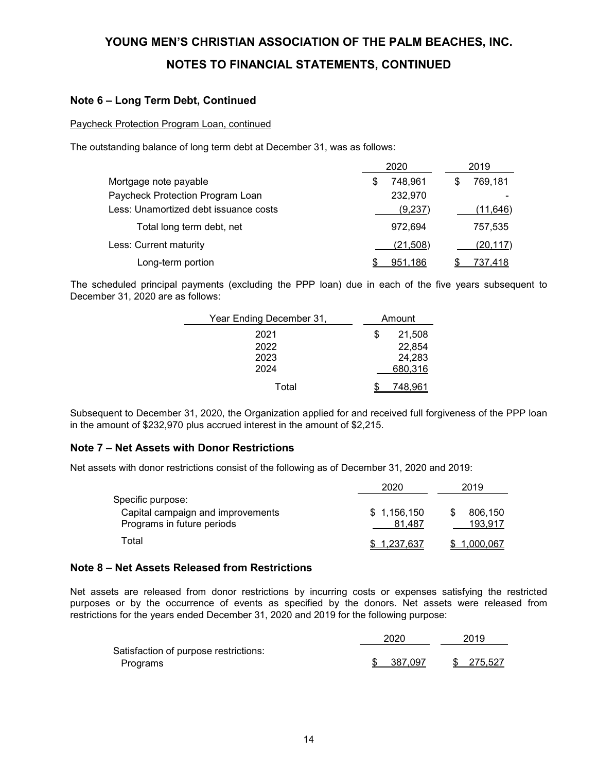# **YOUNG MEN'S CHRISTIAN ASSOCIATION OF THE PALM BEACHES, INC. NOTES TO FINANCIAL STATEMENTS, CONTINUED**

# **Note 6 – Long Term Debt, Continued**

### Paycheck Protection Program Loan, continued

The outstanding balance of long term debt at December 31, was as follows:

|                                       | 2020         | 2019         |
|---------------------------------------|--------------|--------------|
| Mortgage note payable                 | 748,961<br>S | 769.181<br>S |
| Paycheck Protection Program Loan      | 232,970      |              |
| Less: Unamortized debt issuance costs | (9,237)      | (11,646      |
| Total long term debt, net             | 972.694      | 757.535      |
| Less: Current maturity                | (21,508)     | (20,117)     |
| Long-term portion                     | 951.186      | 737.418      |

The scheduled principal payments (excluding the PPP loan) due in each of the five years subsequent to December 31, 2020 are as follows:

| Year Ending December 31, |   | Amount  |
|--------------------------|---|---------|
| 2021                     | S | 21,508  |
| 2022                     |   | 22,854  |
| 2023                     |   | 24,283  |
| 2024                     |   | 680,316 |
| Total                    |   | 748.961 |

Subsequent to December 31, 2020, the Organization applied for and received full forgiveness of the PPP loan in the amount of \$232,970 plus accrued interest in the amount of \$2,215.

### **Note 7 – Net Assets with Donor Restrictions**

Net assets with donor restrictions consist of the following as of December 31, 2020 and 2019:

|                                                                 | 2020                  | 2019               |
|-----------------------------------------------------------------|-----------------------|--------------------|
| Specific purpose:                                               |                       |                    |
| Capital campaign and improvements<br>Programs in future periods | \$1,156,150<br>81.487 | 806,150<br>193.917 |
| Total                                                           | 1.237.637             | 1.000.067          |

### **Note 8 – Net Assets Released from Restrictions**

Net assets are released from donor restrictions by incurring costs or expenses satisfying the restricted purposes or by the occurrence of events as specified by the donors. Net assets were released from restrictions for the years ended December 31, 2020 and 2019 for the following purpose:

|                                       | 2020    | 2019       |
|---------------------------------------|---------|------------|
| Satisfaction of purpose restrictions: |         |            |
| Programs                              | 387.097 | \$ 275.527 |